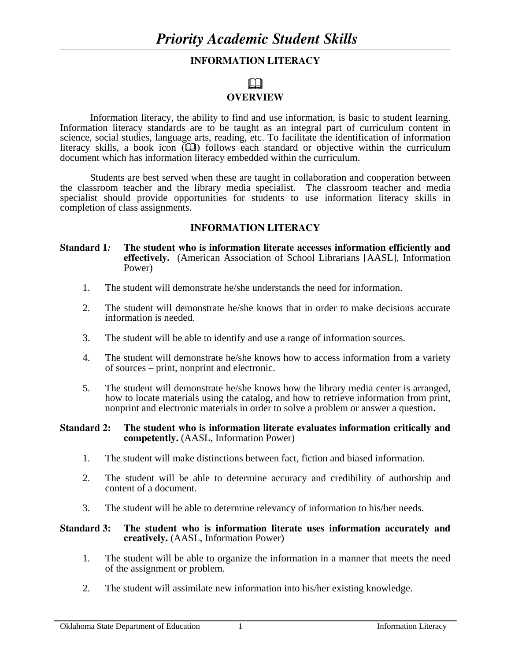# **INFORMATION LITERACY**

# $\Box$

# **OVERVIEW**

Information literacy, the ability to find and use information, is basic to student learning. Information literacy standards are to be taught as an integral part of curriculum content in science, social studies, language arts, reading, etc. To facilitate the identification of information literacy skills, a book icon  $(\Box)$  follows each standard or objective within the curriculum document which has information literacy embedded within the curriculum.

Students are best served when these are taught in collaboration and cooperation between the classroom teacher and the library media specialist. The classroom teacher and media specialist should provide opportunities for students to use information literacy skills in completion of class assignments.

# **INFORMATION LITERACY**

#### **Standard 1***:* **The student who is information literate accesses information efficiently and effectively.** (American Association of School Librarians [AASL], Information Power)

- 1. The student will demonstrate he/she understands the need for information.
- 2. The student will demonstrate he/she knows that in order to make decisions accurate information is needed.
- 3. The student will be able to identify and use a range of information sources.
- 4. The student will demonstrate he/she knows how to access information from a variety of sources – print, nonprint and electronic.
- 5. The student will demonstrate he/she knows how the library media center is arranged, how to locate materials using the catalog, and how to retrieve information from print, nonprint and electronic materials in order to solve a problem or answer a question.

#### **Standard 2: The student who is information literate evaluates information critically and competently.** (AASL, Information Power)

- 1. The student will make distinctions between fact, fiction and biased information.
- 2. The student will be able to determine accuracy and credibility of authorship and content of a document.
- 3. The student will be able to determine relevancy of information to his/her needs.

#### **Standard 3: The student who is information literate uses information accurately and creatively.** (AASL, Information Power)

- 1. The student will be able to organize the information in a manner that meets the need of the assignment or problem.
- 2. The student will assimilate new information into his/her existing knowledge.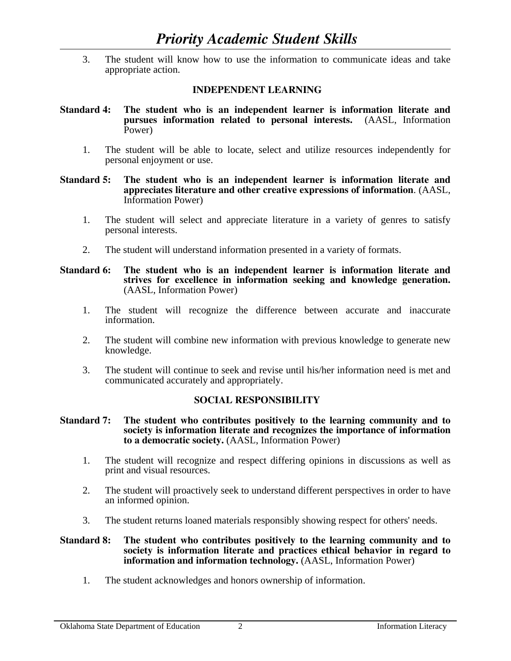3. The student will know how to use the information to communicate ideas and take appropriate action.

# **INDEPENDENT LEARNING**

- **Standard 4: The student who is an independent learner is information literate and pursues information related to personal interests.** (AASL, Information Power)
	- 1. The student will be able to locate, select and utilize resources independently for personal enjoyment or use.

#### **Standard 5: The student who is an independent learner is information literate and appreciates literature and other creative expressions of information**. (AASL, Information Power)

- 1. The student will select and appreciate literature in a variety of genres to satisfy personal interests.
- 2. The student will understand information presented in a variety of formats.

#### **Standard 6: The student who is an independent learner is information literate and strives for excellence in information seeking and knowledge generation.**  (AASL, Information Power)

- 1. The student will recognize the difference between accurate and inaccurate information.
- 2. The student will combine new information with previous knowledge to generate new knowledge.
- 3. The student will continue to seek and revise until his/her information need is met and communicated accurately and appropriately.

### **SOCIAL RESPONSIBILITY**

#### **Standard 7: The student who contributes positively to the learning community and to society is information literate and recognizes the importance of information to a democratic society.** (AASL, Information Power)

- 1. The student will recognize and respect differing opinions in discussions as well as print and visual resources.
- 2. The student will proactively seek to understand different perspectives in order to have an informed opinion.
- 3. The student returns loaned materials responsibly showing respect for others' needs.

#### **Standard 8: The student who contributes positively to the learning community and to society is information literate and practices ethical behavior in regard to information and information technology.** (AASL, Information Power)

1. The student acknowledges and honors ownership of information.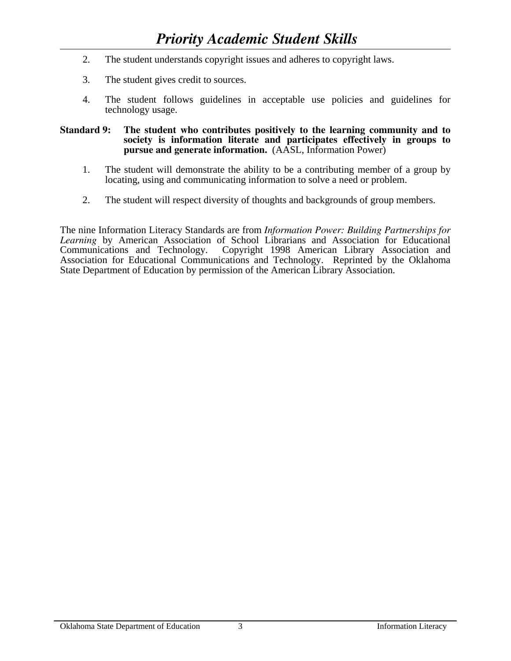- 2. The student understands copyright issues and adheres to copyright laws.
- 3. The student gives credit to sources.
- 4. The student follows guidelines in acceptable use policies and guidelines for technology usage.

#### **Standard 9: The student who contributes positively to the learning community and to society is information literate and participates effectively in groups to pursue and generate information.** (AASL, Information Power)

- 1. The student will demonstrate the ability to be a contributing member of a group by locating, using and communicating information to solve a need or problem.
- 2. The student will respect diversity of thoughts and backgrounds of group members.

The nine Information Literacy Standards are from *Information Power: Building Partnerships for Learning* by American Association of School Librarians and Association for Educational Communications and Technology. Copyright 1998 American Library Association and Association for Educational Communications and Technology. Reprinted by the Oklahoma State Department of Education by permission of the American Library Association.